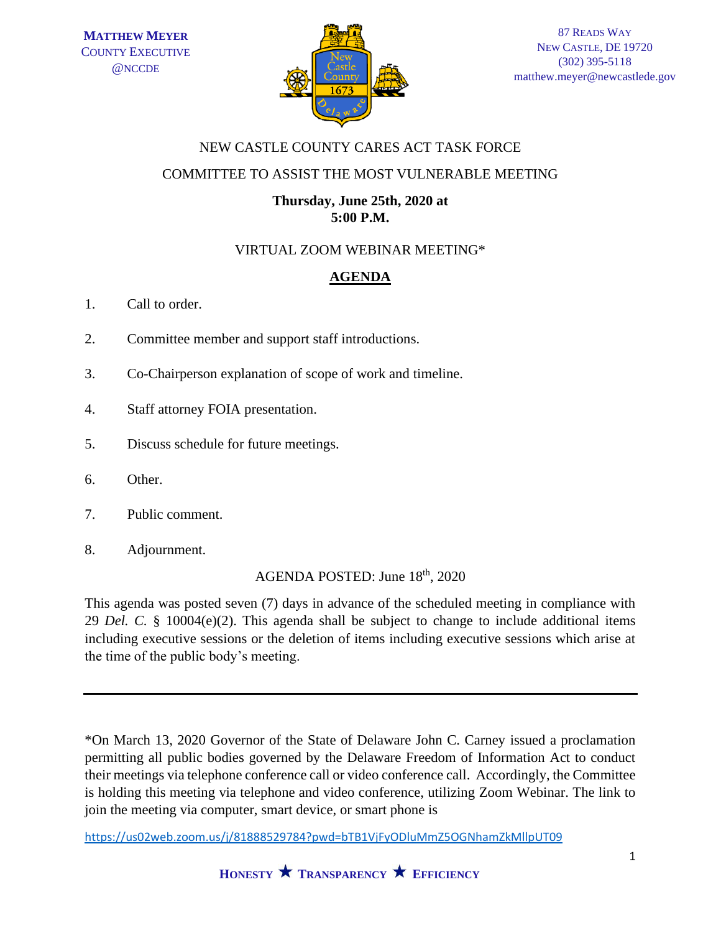

## NEW CASTLE COUNTY CARES ACT TASK FORCE

## COMMITTEE TO ASSIST THE MOST VULNERABLE MEETING

### **Thursday, June 25th, 2020 at 5:00 P.M.**

# VIRTUAL ZOOM WEBINAR MEETING\*

# **AGENDA**

- 1. Call to order.
- 2. Committee member and support staff introductions.
- 3. Co-Chairperson explanation of scope of work and timeline.
- 4. Staff attorney FOIA presentation.
- 5. Discuss schedule for future meetings.
- 6. Other.
- 7. Public comment.
- 8. Adjournment.

AGENDA POSTED: June 18<sup>th</sup>, 2020

This agenda was posted seven (7) days in advance of the scheduled meeting in compliance with 29 *Del. C.* § 10004(e)(2). This agenda shall be subject to change to include additional items including executive sessions or the deletion of items including executive sessions which arise at the time of the public body's meeting.

\*On March 13, 2020 Governor of the State of Delaware John C. Carney issued a proclamation permitting all public bodies governed by the Delaware Freedom of Information Act to conduct their meetings via telephone conference call or video conference call. Accordingly, the Committee is holding this meeting via telephone and video conference, utilizing Zoom Webinar. The link to join the meeting via computer, smart device, or smart phone is

<https://us02web.zoom.us/j/81888529784?pwd=bTB1VjFyODluMmZ5OGNhamZkMllpUT09>